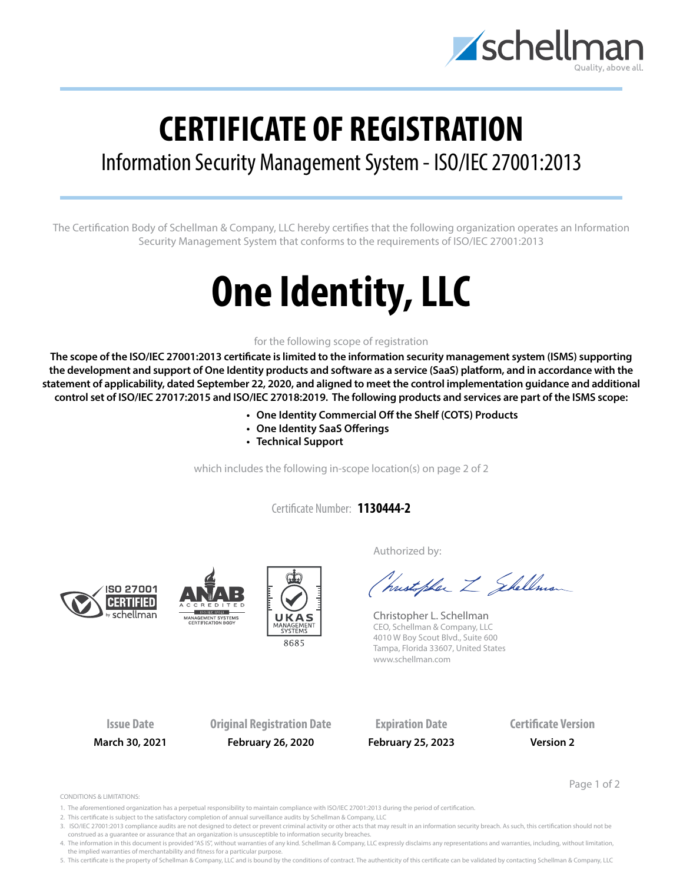

## **CERTIFICATE OF REGISTRATION**

## Information Security Management System - ISO/IEC 27001:2013

The Certification Body of Schellman & Company, LLC hereby certifies that the following organization operates an Information Security Management System that conforms to the requirements of ISO/IEC 27001:2013

# **One Identity, LLC**

#### for the following scope of registration

**The scope of the ISO/IEC 27001:2013 certificate is limited to the information security management system (ISMS) supporting the development and support of One Identity products and software as a service (SaaS) platform, and in accordance with the statement of applicability, dated September 22, 2020, and aligned to meet the control implementation guidance and additional control set of ISO/IEC 27017:2015 and ISO/IEC 27018:2019. The following products and services are part of the ISMS scope:**

- **• One Identity Commercial Off the Shelf (COTS) Products**
- **• One Identity SaaS Offerings**
- **• Technical Support**

which includes the following in-scope location(s) on page 2 of 2

Certificate Number: **1130444-2**







Authorized by:

(hustopher Z Shellman

Christopher L. Schellman CEO, Schellman & Company, LLC 4010 W Boy Scout Blvd., Suite 600 Tampa, Florida 33607, United States www.schellman.com

**Issue Date Original Registration Date Expiration Date Certificate Version March 30, 2021 February 26, 2020 February 25, 2023 Version 2**

Page 1 of 2

CONDITIONS & LIMITATIONS:

- 1. The aforementioned organization has a perpetual responsibility to maintain compliance with ISO/IEC 27001:2013 during the period of certification.
- 2. This certificate is subject to the satisfactory completion of annual surveillance audits by Schellman & Company, LLC
- 3. ISO/IEC 27001:2013 compliance audits are not designed to detect or prevent criminal activity or other acts that may result in an information security breach. As such, this certification should not be construed as a guarantee or assurance that an organization is unsusceptible to information security breaches.

4. The information in this document is provided "AS IS", without warranties of any kind. Schellman & Company, LLC expressly disclaims any representations and warranties, including, without limitation, the implied warranties of merchantability and fitness for a particular purpose.

5. This certificate is the property of Schellman & Company, LLC and is bound by the conditions of contract. The authenticity of this certificate can be validated by contacting Schellman & Company, LLC